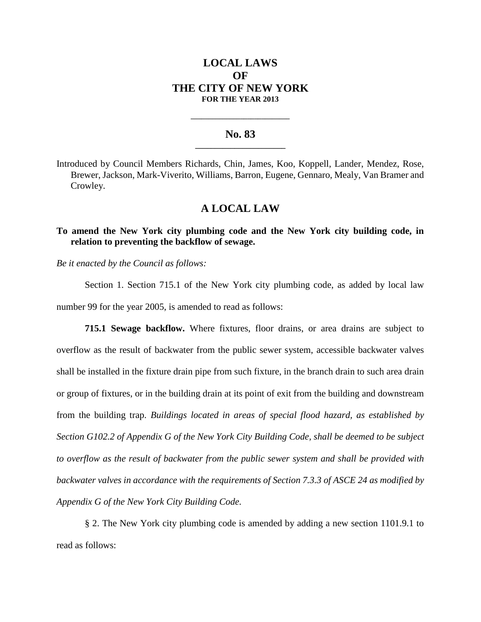# **LOCAL LAWS OF THE CITY OF NEW YORK FOR THE YEAR 2013**

## **No. 83 \_\_\_\_\_\_\_\_\_\_\_\_\_\_\_\_\_\_\_\_\_\_\_**

**\_\_\_\_\_\_\_\_\_\_\_\_\_\_\_\_\_\_\_\_\_\_\_\_\_\_\_\_**

Introduced by Council Members Richards, Chin, James, Koo, Koppell, Lander, Mendez, Rose, Brewer, Jackson, Mark-Viverito, Williams, Barron, Eugene, Gennaro, Mealy, Van Bramer and Crowley.

## **A LOCAL LAW**

## **To amend the New York city plumbing code and the New York city building code, in relation to preventing the backflow of sewage.**

*Be it enacted by the Council as follows:*

Section 1. Section 715.1 of the New York city plumbing code, as added by local law number 99 for the year 2005, is amended to read as follows:

**715.1 Sewage backflow.** Where fixtures, floor drains, or area drains are subject to overflow as the result of backwater from the public sewer system, accessible backwater valves shall be installed in the fixture drain pipe from such fixture, in the branch drain to such area drain or group of fixtures, or in the building drain at its point of exit from the building and downstream from the building trap. *Buildings located in areas of special flood hazard, as established by Section G102.2 of Appendix G of the New York City Building Code, shall be deemed to be subject to overflow as the result of backwater from the public sewer system and shall be provided with backwater valves in accordance with the requirements of Section 7.3.3 of ASCE 24 as modified by Appendix G of the New York City Building Code.*

§ 2. The New York city plumbing code is amended by adding a new section 1101.9.1 to read as follows: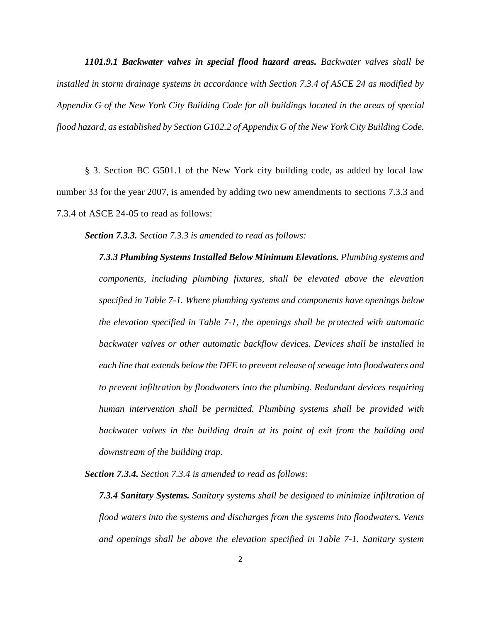*1101.9.1 Backwater valves in special flood hazard areas. Backwater valves shall be installed in storm drainage systems in accordance with Section 7.3.4 of ASCE 24 as modified by Appendix G of the New York City Building Code for all buildings located in the areas of special flood hazard, as established by Section G102.2 of Appendix G of the New York City Building Code.*

§ 3. Section BC G501.1 of the New York city building code, as added by local law number 33 for the year 2007, is amended by adding two new amendments to sections 7.3.3 and 7.3.4 of ASCE 24-05 to read as follows:

*Section 7.3.3. Section 7.3.3 is amended to read as follows:*

*7.3.3 Plumbing Systems Installed Below Minimum Elevations. Plumbing systems and components, including plumbing fixtures, shall be elevated above the elevation specified in Table 7-1. Where plumbing systems and components have openings below the elevation specified in Table 7-1, the openings shall be protected with automatic backwater valves or other automatic backflow devices. Devices shall be installed in each line that extends below the DFE to prevent release of sewage into floodwaters and to prevent infiltration by floodwaters into the plumbing. Redundant devices requiring human intervention shall be permitted. Plumbing systems shall be provided with backwater valves in the building drain at its point of exit from the building and downstream of the building trap.*

*Section 7.3.4. Section 7.3.4 is amended to read as follows:*

*7.3.4 Sanitary Systems. Sanitary systems shall be designed to minimize infiltration of flood waters into the systems and discharges from the systems into floodwaters. Vents and openings shall be above the elevation specified in Table 7-1. Sanitary system*